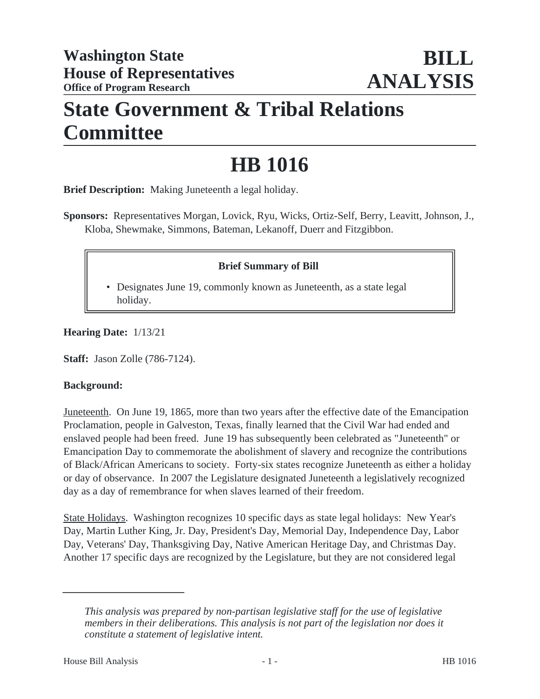## **State Government & Tribal Relations Committee**

# **HB 1016**

**Brief Description:** Making Juneteenth a legal holiday.

**Sponsors:** Representatives Morgan, Lovick, Ryu, Wicks, Ortiz-Self, Berry, Leavitt, Johnson, J., Kloba, Shewmake, Simmons, Bateman, Lekanoff, Duerr and Fitzgibbon.

### **Brief Summary of Bill**

• Designates June 19, commonly known as Juneteenth, as a state legal holiday.

**Hearing Date:** 1/13/21

**Staff:** Jason Zolle (786-7124).

#### **Background:**

Juneteenth. On June 19, 1865, more than two years after the effective date of the Emancipation Proclamation, people in Galveston, Texas, finally learned that the Civil War had ended and enslaved people had been freed. June 19 has subsequently been celebrated as "Juneteenth" or Emancipation Day to commemorate the abolishment of slavery and recognize the contributions of Black/African Americans to society. Forty-six states recognize Juneteenth as either a holiday or day of observance. In 2007 the Legislature designated Juneteenth a legislatively recognized day as a day of remembrance for when slaves learned of their freedom.

State Holidays. Washington recognizes 10 specific days as state legal holidays: New Year's Day, Martin Luther King, Jr. Day, President's Day, Memorial Day, Independence Day, Labor Day, Veterans' Day, Thanksgiving Day, Native American Heritage Day, and Christmas Day. Another 17 specific days are recognized by the Legislature, but they are not considered legal

*This analysis was prepared by non-partisan legislative staff for the use of legislative members in their deliberations. This analysis is not part of the legislation nor does it constitute a statement of legislative intent.*